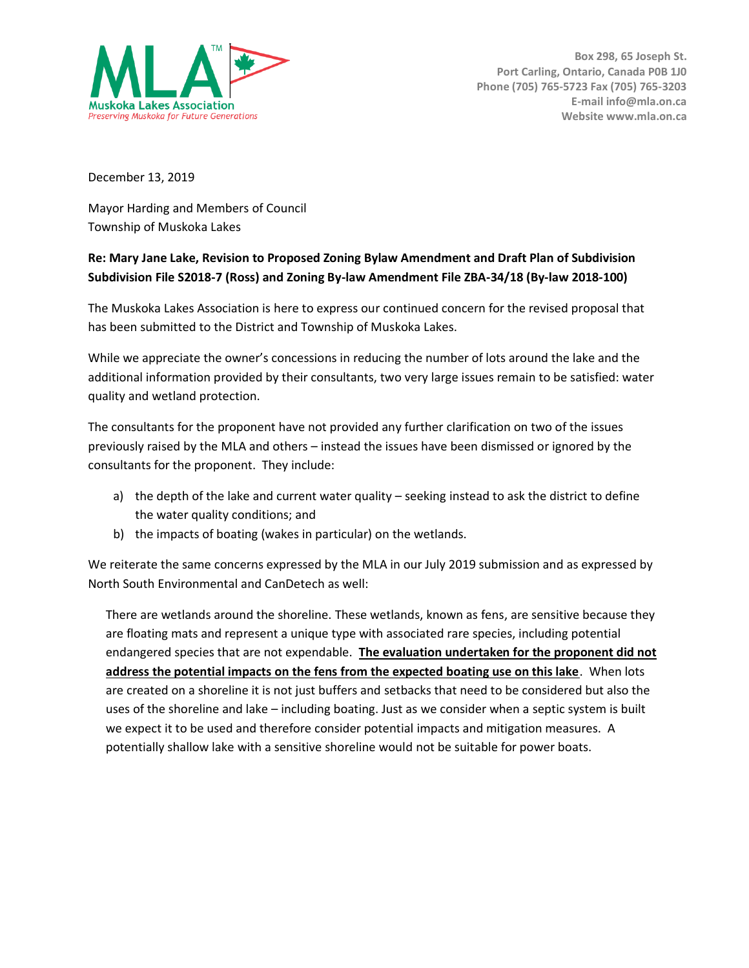

December 13, 2019

Mayor Harding and Members of Council Township of Muskoka Lakes

## **Re: Mary Jane Lake, Revision to Proposed Zoning Bylaw Amendment and Draft Plan of Subdivision Subdivision File S2018-7 (Ross) and Zoning By-law Amendment File ZBA-34/18 (By-law 2018-100)**

The Muskoka Lakes Association is here to express our continued concern for the revised proposal that has been submitted to the District and Township of Muskoka Lakes.

While we appreciate the owner's concessions in reducing the number of lots around the lake and the additional information provided by their consultants, two very large issues remain to be satisfied: water quality and wetland protection.

The consultants for the proponent have not provided any further clarification on two of the issues previously raised by the MLA and others – instead the issues have been dismissed or ignored by the consultants for the proponent. They include:

- a) the depth of the lake and current water quality seeking instead to ask the district to define the water quality conditions; and
- b) the impacts of boating (wakes in particular) on the wetlands.

We reiterate the same concerns expressed by the MLA in our July 2019 submission and as expressed by North South Environmental and CanDetech as well:

There are wetlands around the shoreline. These wetlands, known as fens, are sensitive because they are floating mats and represent a unique type with associated rare species, including potential endangered species that are not expendable. **The evaluation undertaken for the proponent did not address the potential impacts on the fens from the expected boating use on this lake**. When lots are created on a shoreline it is not just buffers and setbacks that need to be considered but also the uses of the shoreline and lake – including boating. Just as we consider when a septic system is built we expect it to be used and therefore consider potential impacts and mitigation measures. A potentially shallow lake with a sensitive shoreline would not be suitable for power boats.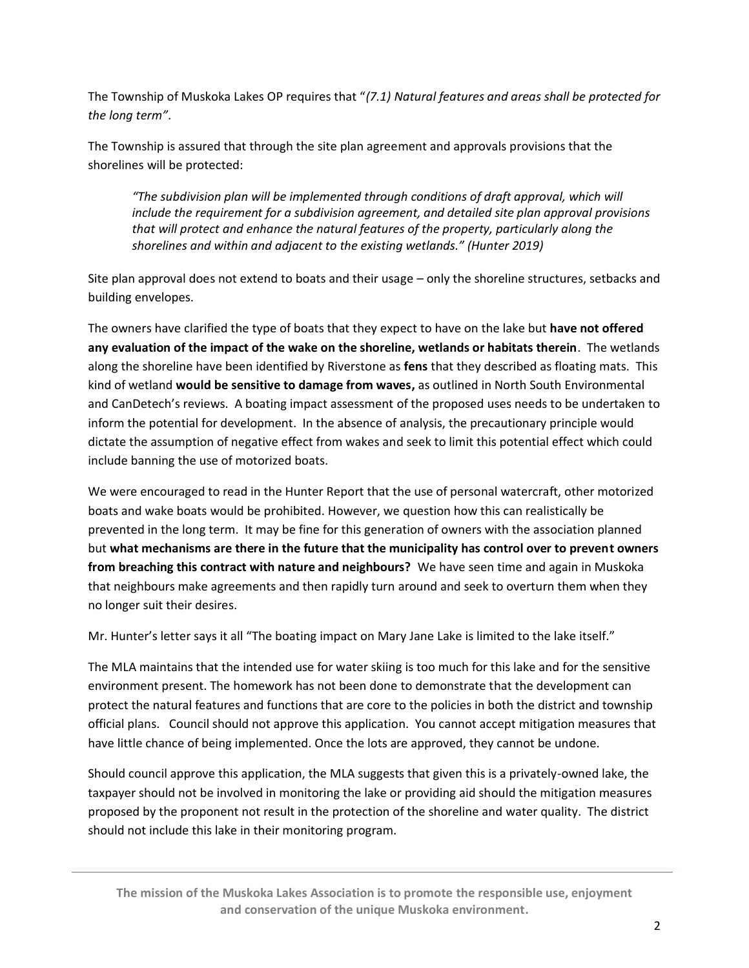The Township of Muskoka Lakes OP requires that "*(7.1) Natural features and areas shall be protected for the long term"*.

The Township is assured that through the site plan agreement and approvals provisions that the shorelines will be protected:

*"The subdivision plan will be implemented through conditions of draft approval, which will include the requirement for a subdivision agreement, and detailed site plan approval provisions that will protect and enhance the natural features of the property, particularly along the shorelines and within and adjacent to the existing wetlands." (Hunter 2019)*

Site plan approval does not extend to boats and their usage – only the shoreline structures, setbacks and building envelopes.

The owners have clarified the type of boats that they expect to have on the lake but **have not offered any evaluation of the impact of the wake on the shoreline, wetlands or habitats therein**. The wetlands along the shoreline have been identified by Riverstone as **fens** that they described as floating mats. This kind of wetland **would be sensitive to damage from waves,** as outlined in North South Environmental and CanDetech's reviews. A boating impact assessment of the proposed uses needs to be undertaken to inform the potential for development. In the absence of analysis, the precautionary principle would dictate the assumption of negative effect from wakes and seek to limit this potential effect which could include banning the use of motorized boats.

We were encouraged to read in the Hunter Report that the use of personal watercraft, other motorized boats and wake boats would be prohibited. However, we question how this can realistically be prevented in the long term. It may be fine for this generation of owners with the association planned but **what mechanisms are there in the future that the municipality has control over to prevent owners from breaching this contract with nature and neighbours?** We have seen time and again in Muskoka that neighbours make agreements and then rapidly turn around and seek to overturn them when they no longer suit their desires.

Mr. Hunter's letter says it all "The boating impact on Mary Jane Lake is limited to the lake itself."

The MLA maintains that the intended use for water skiing is too much for this lake and for the sensitive environment present. The homework has not been done to demonstrate that the development can protect the natural features and functions that are core to the policies in both the district and township official plans. Council should not approve this application. You cannot accept mitigation measures that have little chance of being implemented. Once the lots are approved, they cannot be undone.

Should council approve this application, the MLA suggests that given this is a privately-owned lake, the taxpayer should not be involved in monitoring the lake or providing aid should the mitigation measures proposed by the proponent not result in the protection of the shoreline and water quality. The district should not include this lake in their monitoring program.

**The mission of the Muskoka Lakes Association is to promote the responsible use, enjoyment and conservation of the unique Muskoka environment.**